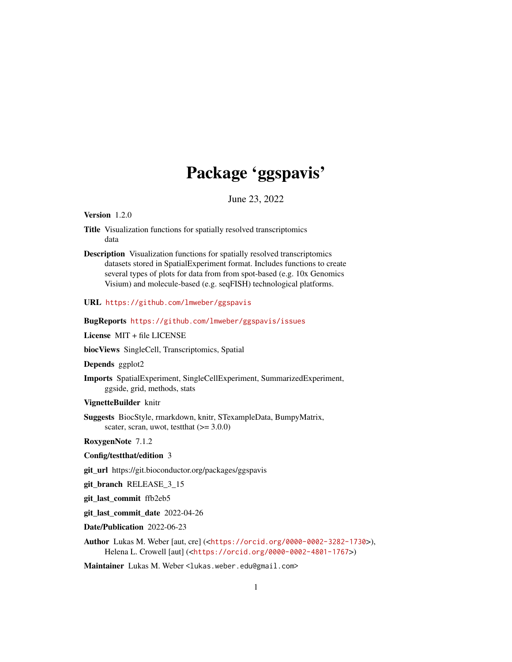## Package 'ggspavis'

June 23, 2022

<span id="page-0-0"></span>Version 1.2.0

- Title Visualization functions for spatially resolved transcriptomics data
- Description Visualization functions for spatially resolved transcriptomics datasets stored in SpatialExperiment format. Includes functions to create several types of plots for data from from spot-based (e.g. 10x Genomics Visium) and molecule-based (e.g. seqFISH) technological platforms.

URL <https://github.com/lmweber/ggspavis>

BugReports <https://github.com/lmweber/ggspavis/issues>

License MIT + file LICENSE

biocViews SingleCell, Transcriptomics, Spatial

Depends ggplot2

- Imports SpatialExperiment, SingleCellExperiment, SummarizedExperiment, ggside, grid, methods, stats
- VignetteBuilder knitr
- Suggests BiocStyle, rmarkdown, knitr, STexampleData, BumpyMatrix, scater, scran, uwot, testthat  $(>= 3.0.0)$

RoxygenNote 7.1.2

Config/testthat/edition 3

git\_url https://git.bioconductor.org/packages/ggspavis

git\_branch RELEASE\_3\_15

git\_last\_commit ffb2eb5

git\_last\_commit\_date 2022-04-26

Date/Publication 2022-06-23

Author Lukas M. Weber [aut, cre] (<<https://orcid.org/0000-0002-3282-1730>>), Helena L. Crowell [aut] (<<https://orcid.org/0000-0002-4801-1767>>)

Maintainer Lukas M. Weber<lukas.weber.edu@gmail.com>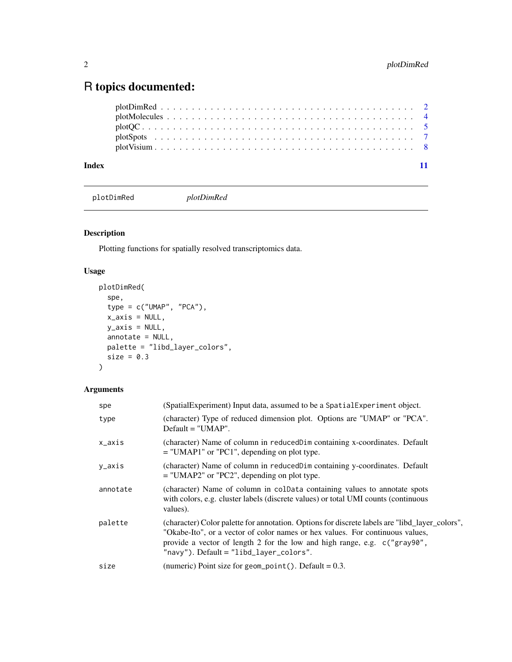### <span id="page-1-0"></span>R topics documented:

| Index |  |  |  |  |  |  |  |  |  |  |  |  |  |  |  |  |  |  |  |
|-------|--|--|--|--|--|--|--|--|--|--|--|--|--|--|--|--|--|--|--|
|       |  |  |  |  |  |  |  |  |  |  |  |  |  |  |  |  |  |  |  |
|       |  |  |  |  |  |  |  |  |  |  |  |  |  |  |  |  |  |  |  |
|       |  |  |  |  |  |  |  |  |  |  |  |  |  |  |  |  |  |  |  |
|       |  |  |  |  |  |  |  |  |  |  |  |  |  |  |  |  |  |  |  |
|       |  |  |  |  |  |  |  |  |  |  |  |  |  |  |  |  |  |  |  |

plotDimRed *plotDimRed*

#### Description

Plotting functions for spatially resolved transcriptomics data.

#### Usage

```
plotDimRed(
  spe,
  type = c("UMAP", "PCA"),
 x_axis = NULL,y_axis = NULL,annotate = NULL,
 palette = "libd_layer_colors",
 size = 0.3)
```
#### Arguments

| spe      | (SpatialExperiment) Input data, assumed to be a SpatialExperiment object.                                                                                                                                                                                                                                   |
|----------|-------------------------------------------------------------------------------------------------------------------------------------------------------------------------------------------------------------------------------------------------------------------------------------------------------------|
| type     | (character) Type of reduced dimension plot. Options are "UMAP" or "PCA".<br>$Default = "UMAP".$                                                                                                                                                                                                             |
| x_axis   | (character) Name of column in reduced Dim containing x-coordinates. Default<br>$=$ "UMAP1" or "PC1", depending on plot type.                                                                                                                                                                                |
| y_axis   | (character) Name of column in reducedDim containing y-coordinates. Default<br>$=$ "UMAP2" or "PC2", depending on plot type.                                                                                                                                                                                 |
| annotate | (character) Name of column in coldata containing values to annotate spots<br>with colors, e.g. cluster labels (discrete values) or total UMI counts (continuous<br>values).                                                                                                                                 |
| palette  | (character) Color palette for annotation. Options for discrete labels are "libd_layer_colors",<br>"Okabe-Ito", or a vector of color names or hex values. For continuous values,<br>provide a vector of length 2 for the low and high range, e.g. c("gray90",<br>" $navy$ "). Default = "libd_layer_colors". |
| size     | (numeric) Point size for geom_point(). Default = $0.3$ .                                                                                                                                                                                                                                                    |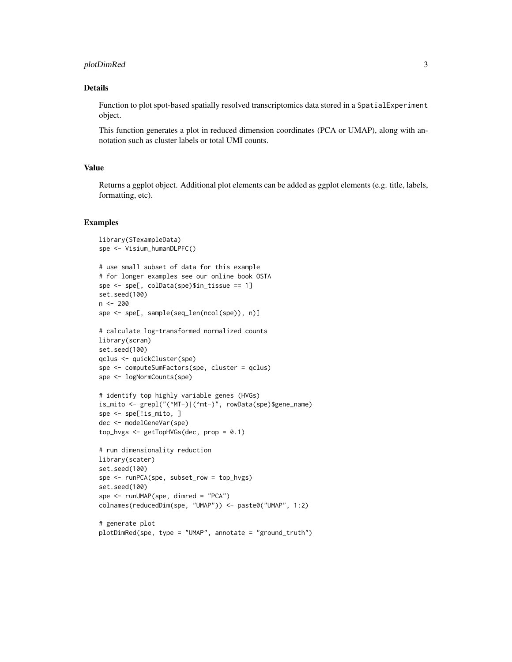#### plotDimRed 3

#### Details

Function to plot spot-based spatially resolved transcriptomics data stored in a SpatialExperiment object.

This function generates a plot in reduced dimension coordinates (PCA or UMAP), along with annotation such as cluster labels or total UMI counts.

#### Value

Returns a ggplot object. Additional plot elements can be added as ggplot elements (e.g. title, labels, formatting, etc).

#### Examples

```
library(STexampleData)
spe <- Visium_humanDLPFC()
# use small subset of data for this example
# for longer examples see our online book OSTA
spe <- spe[, colData(spe)$in_tissue == 1]
set.seed(100)
n <- 200
spe <- spe[, sample(seq_len(ncol(spe)), n)]
# calculate log-transformed normalized counts
library(scran)
set.seed(100)
qclus <- quickCluster(spe)
spe <- computeSumFactors(spe, cluster = qclus)
spe <- logNormCounts(spe)
# identify top highly variable genes (HVGs)
is_mito <- grepl("(^MT-)|(^mt-)", rowData(spe)$gene_name)
spe <- spe[!is_mito, ]
dec <- modelGeneVar(spe)
top_hvgs <- getTopHVGs(dec, prop = 0.1)
# run dimensionality reduction
library(scater)
set.seed(100)
spe <- runPCA(spe, subset_row = top_hvgs)
set.seed(100)
spe <- runUMAP(spe, dimred = "PCA")
colnames(reducedDim(spe, "UMAP")) <- paste0("UMAP", 1:2)
# generate plot
```

```
plotDimRed(spe, type = "UMAP", annotate = "ground_truth")
```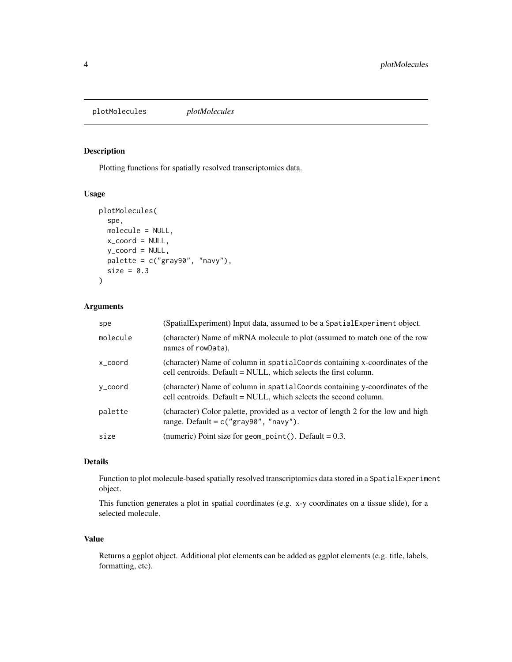<span id="page-3-0"></span>plotMolecules *plotMolecules*

#### Description

Plotting functions for spatially resolved transcriptomics data.

#### Usage

```
plotMolecules(
  spe,
 molecule = NULL,
 x_coord = NULL,
 y_coord = NULL,
 palette = c("gray90", "navy"),
 size = 0.3)
```
#### Arguments

| spe      | (SpatialExperiment) Input data, assumed to be a SpatialExperiment object.                                                                        |
|----------|--------------------------------------------------------------------------------------------------------------------------------------------------|
| molecule | (character) Name of mRNA molecule to plot (assumed to match one of the row<br>names of rowData).                                                 |
| x coord  | (character) Name of column in spatial Coords containing x-coordinates of the<br>cell centroids. Default = NULL, which selects the first column.  |
| y_coord  | (character) Name of column in spatial Coords containing y-coordinates of the<br>cell centroids. Default = NULL, which selects the second column. |
| palette  | (character) Color palette, provided as a vector of length 2 for the low and high<br>range. Default = $c("gray90", "navy").$                      |
| size     | (numeric) Point size for geom_point(). Default = $0.3$ .                                                                                         |

#### Details

Function to plot molecule-based spatially resolved transcriptomics data stored in a SpatialExperiment object.

This function generates a plot in spatial coordinates (e.g. x-y coordinates on a tissue slide), for a selected molecule.

#### Value

Returns a ggplot object. Additional plot elements can be added as ggplot elements (e.g. title, labels, formatting, etc).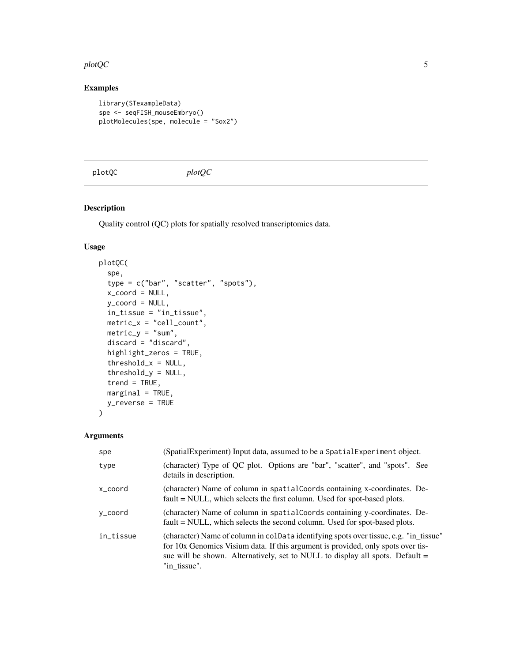#### <span id="page-4-0"></span>plotQC 5

#### Examples

```
library(STexampleData)
spe <- seqFISH_mouseEmbryo()
plotMolecules(spe, molecule = "Sox2")
```
plotQC *plotQC*

#### Description

Quality control (QC) plots for spatially resolved transcriptomics data.

#### Usage

```
plotQC(
  spe,
 type = c("bar", "scatter", "spots"),
 x_coord = NULL,
 y_coord = NULL,
 in_tissue = "in_tissue",
 metric_x = "cell_count",
 metric_y = "sum",discard = "discard",
 highlight_zeros = TRUE,
  threshold_x = NULL,
  threshold_y = NULL,
  trend = TRUE,marginal = TRUE,y_reverse = TRUE
)
```
#### Arguments

| spe       | (SpatialExperiment) Input data, assumed to be a SpatialExperiment object.                                                                                                                                                                                                  |
|-----------|----------------------------------------------------------------------------------------------------------------------------------------------------------------------------------------------------------------------------------------------------------------------------|
| type      | (character) Type of QC plot. Options are "bar", "scatter", and "spots". See<br>details in description.                                                                                                                                                                     |
| x coord   | (character) Name of column in spatial Coords containing x-coordinates. De-<br>fault = NULL, which selects the first column. Used for spot-based plots.                                                                                                                     |
| y_coord   | (character) Name of column in spatial Coords containing y-coordinates. De-<br>fault = NULL, which selects the second column. Used for spot-based plots.                                                                                                                    |
| in_tissue | (character) Name of column in colData identifying spots over tissue, e.g. "in_tissue"<br>for 10x Genomics Visium data. If this argument is provided, only spots over tis-<br>sue will be shown. Alternatively, set to NULL to display all spots. Default =<br>"in tissue". |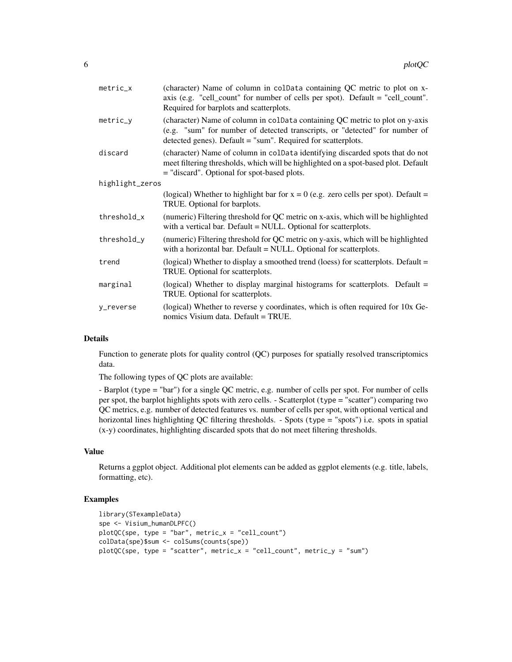| metric_x        | (character) Name of column in colData containing QC metric to plot on x-<br>axis (e.g. "cell_count" for number of cells per spot). Default = "cell_count".<br>Required for barplots and scatterplots.                       |
|-----------------|-----------------------------------------------------------------------------------------------------------------------------------------------------------------------------------------------------------------------------|
| $metric_y$      | (character) Name of column in colData containing QC metric to plot on y-axis<br>(e.g. "sum" for number of detected transcripts, or "detected" for number of<br>detected genes). Default = "sum". Required for scatterplots. |
| discard         | (character) Name of column in colData identifying discarded spots that do not<br>meet filtering thresholds, which will be highlighted on a spot-based plot. Default<br>= "discard". Optional for spot-based plots.          |
| highlight_zeros |                                                                                                                                                                                                                             |
|                 | (logical) Whether to highlight bar for $x = 0$ (e.g. zero cells per spot). Default =<br>TRUE. Optional for barplots.                                                                                                        |
| threshold_x     | (numeric) Filtering threshold for QC metric on x-axis, which will be highlighted<br>with a vertical bar. Default = NULL. Optional for scatterplots.                                                                         |
| threshold_y     | (numeric) Filtering threshold for QC metric on y-axis, which will be highlighted<br>with a horizontal bar. Default = NULL. Optional for scatterplots.                                                                       |
| trend           | (logical) Whether to display a smoothed trend (loess) for scatterplots. Default =<br>TRUE. Optional for scatterplots.                                                                                                       |
| marginal        | (logical) Whether to display marginal histograms for scatterplots. Default $=$<br>TRUE. Optional for scatterplots.                                                                                                          |
| y_reverse       | (logical) Whether to reverse y coordinates, which is often required for 10x Ge-<br>nomics Visium data. Default = TRUE.                                                                                                      |

#### Details

Function to generate plots for quality control (QC) purposes for spatially resolved transcriptomics data.

The following types of QC plots are available:

- Barplot (type = "bar") for a single QC metric, e.g. number of cells per spot. For number of cells per spot, the barplot highlights spots with zero cells. - Scatterplot (type = "scatter") comparing two QC metrics, e.g. number of detected features vs. number of cells per spot, with optional vertical and horizontal lines highlighting QC filtering thresholds. - Spots (type = "spots") i.e. spots in spatial (x-y) coordinates, highlighting discarded spots that do not meet filtering thresholds.

#### Value

Returns a ggplot object. Additional plot elements can be added as ggplot elements (e.g. title, labels, formatting, etc).

#### Examples

```
library(STexampleData)
spe <- Visium_humanDLPFC()
plotQC(spe, type = "bar", metric_x = "cell_count")colData(spe)$sum <- colSums(counts(spe))
plotQC(spe, type = "scatter", metric_x = "cell_count", metric_y = "sum")
```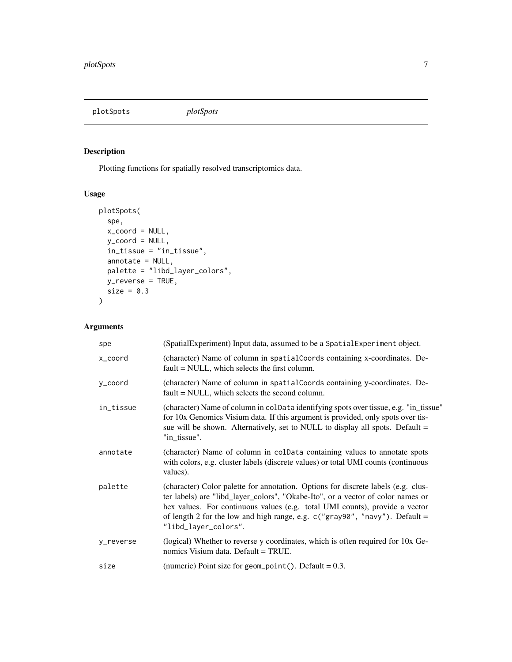<span id="page-6-0"></span>plotSpots *plotSpots*

#### Description

Plotting functions for spatially resolved transcriptomics data.

#### Usage

```
plotSpots(
 spe,
 x_coord = NULL,
 y_coord = NULL,
 in_tissue = "in_tissue",
 annotate = NULL,
 palette = "libd_layer_colors",
 y_reverse = TRUE,
 size = 0.3)
```
#### Arguments

| spe       | (SpatialExperiment) Input data, assumed to be a SpatialExperiment object.                                                                                                                                                                                                                                                                                    |
|-----------|--------------------------------------------------------------------------------------------------------------------------------------------------------------------------------------------------------------------------------------------------------------------------------------------------------------------------------------------------------------|
| x_coord   | (character) Name of column in spatialCoords containing x-coordinates. De-<br>fault = NULL, which selects the first column.                                                                                                                                                                                                                                   |
| y_coord   | (character) Name of column in spatial Coords containing y-coordinates. De-<br>fault = NULL, which selects the second column.                                                                                                                                                                                                                                 |
| in_tissue | (character) Name of column in colData identifying spots over tissue, e.g. "in_tissue"<br>for 10x Genomics Visium data. If this argument is provided, only spots over tis-<br>sue will be shown. Alternatively, set to NULL to display all spots. Default =<br>"in_tissue".                                                                                   |
| annotate  | (character) Name of column in colData containing values to annotate spots<br>with colors, e.g. cluster labels (discrete values) or total UMI counts (continuous<br>values).                                                                                                                                                                                  |
| palette   | (character) Color palette for annotation. Options for discrete labels (e.g. clus-<br>ter labels) are "libd_layer_colors", "Okabe-Ito", or a vector of color names or<br>hex values. For continuous values (e.g. total UMI counts), provide a vector<br>of length 2 for the low and high range, e.g. $c("gray90", "navy").$ Default =<br>"libd_layer_colors". |
| y_reverse | (logical) Whether to reverse y coordinates, which is often required for 10x Ge-<br>nomics Visium data. Default = TRUE.                                                                                                                                                                                                                                       |
| size      | (numeric) Point size for geom_point(). Default = $0.3$ .                                                                                                                                                                                                                                                                                                     |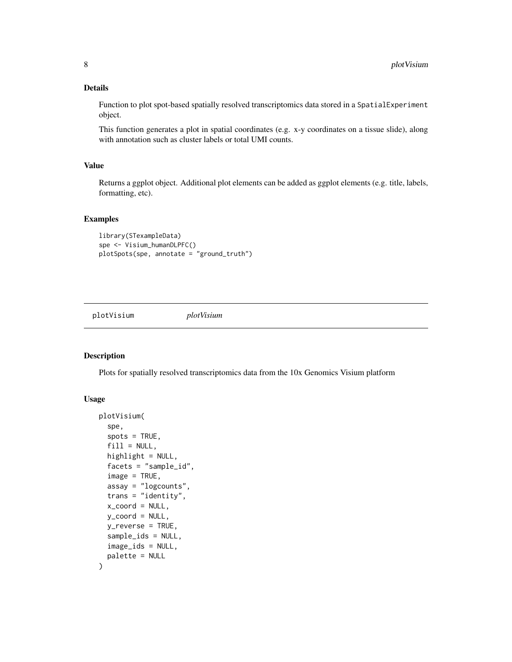#### <span id="page-7-0"></span>Details

Function to plot spot-based spatially resolved transcriptomics data stored in a SpatialExperiment object.

This function generates a plot in spatial coordinates (e.g. x-y coordinates on a tissue slide), along with annotation such as cluster labels or total UMI counts.

#### Value

Returns a ggplot object. Additional plot elements can be added as ggplot elements (e.g. title, labels, formatting, etc).

#### Examples

```
library(STexampleData)
spe <- Visium_humanDLPFC()
plotSpots(spe, annotate = "ground_truth")
```
plotVisium *plotVisium*

#### Description

Plots for spatially resolved transcriptomics data from the 10x Genomics Visium platform

#### Usage

```
plotVisium(
  spe,
  spots = TRUE,
  fill = NULL,highlight = NULL,
  facets = "sample_id",
  image = TRUE,assay = "logcounts",
  trans = "identity",
  x_coord = NULL,
 y_{\text{1}}coord = NULL,
 y_reverse = TRUE,
  sample_ids = NULL,
  image_ids = NULL,
  palette = NULL
)
```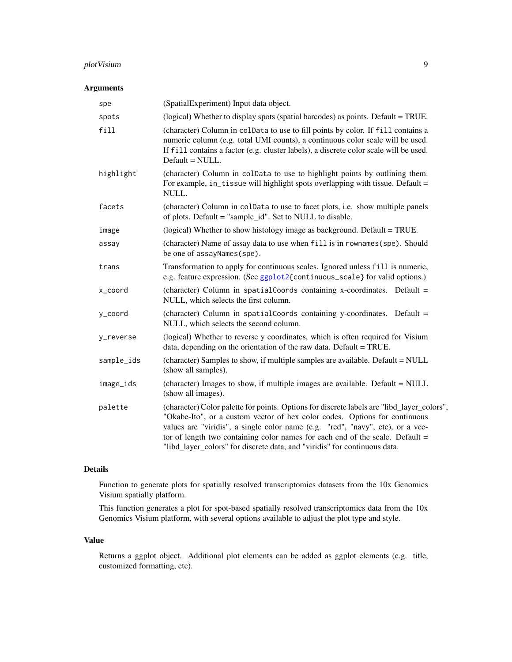#### <span id="page-8-0"></span>plotVisium 9

#### Arguments

| spe        | (SpatialExperiment) Input data object.                                                                                                                                                                                                                                                                                                                                                                                     |
|------------|----------------------------------------------------------------------------------------------------------------------------------------------------------------------------------------------------------------------------------------------------------------------------------------------------------------------------------------------------------------------------------------------------------------------------|
| spots      | (logical) Whether to display spots (spatial barcodes) as points. Default = TRUE.                                                                                                                                                                                                                                                                                                                                           |
| fill       | (character) Column in colData to use to fill points by color. If fill contains a<br>numeric column (e.g. total UMI counts), a continuous color scale will be used.<br>If fill contains a factor (e.g. cluster labels), a discrete color scale will be used.<br>Default = NULL.                                                                                                                                             |
| highlight  | (character) Column in colData to use to highlight points by outlining them.<br>For example, in_tissue will highlight spots overlapping with tissue. Default =<br>NULL.                                                                                                                                                                                                                                                     |
| facets     | (character) Column in colData to use to facet plots, i.e. show multiple panels<br>of plots. Default = "sample_id". Set to NULL to disable.                                                                                                                                                                                                                                                                                 |
| image      | (logical) Whether to show histology image as background. Default = TRUE.                                                                                                                                                                                                                                                                                                                                                   |
| assay      | (character) Name of assay data to use when fill is in rownames (spe). Should<br>be one of assayNames(spe).                                                                                                                                                                                                                                                                                                                 |
| trans      | Transformation to apply for continuous scales. Ignored unless fill is numeric,<br>e.g. feature expression. (See ggplot2{continuous_scale} for valid options.)                                                                                                                                                                                                                                                              |
| x_coord    | (character) Column in spatialCoords containing x-coordinates. Default =<br>NULL, which selects the first column.                                                                                                                                                                                                                                                                                                           |
| y_coord    | (character) Column in spatialCoords containing y-coordinates. Default =<br>NULL, which selects the second column.                                                                                                                                                                                                                                                                                                          |
| y_reverse  | (logical) Whether to reverse y coordinates, which is often required for Visium<br>data, depending on the orientation of the raw data. Default = TRUE.                                                                                                                                                                                                                                                                      |
| sample_ids | (character) Samples to show, if multiple samples are available. Default = NULL<br>(show all samples).                                                                                                                                                                                                                                                                                                                      |
| image_ids  | (character) Images to show, if multiple images are available. Default = NULL<br>(show all images).                                                                                                                                                                                                                                                                                                                         |
| palette    | (character) Color palette for points. Options for discrete labels are "libd_layer_colors",<br>"Okabe-Ito", or a custom vector of hex color codes. Options for continuous<br>values are "viridis", a single color name (e.g. "red", "navy", etc), or a vec-<br>tor of length two containing color names for each end of the scale. Default $=$<br>"libd_layer_colors" for discrete data, and "viridis" for continuous data. |

#### Details

Function to generate plots for spatially resolved transcriptomics datasets from the 10x Genomics Visium spatially platform.

This function generates a plot for spot-based spatially resolved transcriptomics data from the 10x Genomics Visium platform, with several options available to adjust the plot type and style.

#### Value

Returns a ggplot object. Additional plot elements can be added as ggplot elements (e.g. title, customized formatting, etc).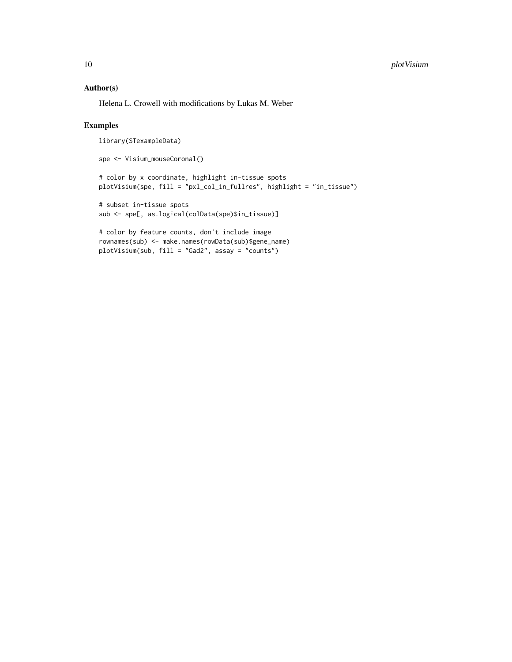#### Author(s)

Helena L. Crowell with modifications by Lukas M. Weber

#### Examples

```
library(STexampleData)
spe <- Visium_mouseCoronal()
# color by x coordinate, highlight in-tissue spots
plotVisium(spe, fill = "pxl_col_in_fullres", highlight = "in_tissue")
# subset in-tissue spots
sub <- spe[, as.logical(colData(spe)$in_tissue)]
# color by feature counts, don't include image
rownames(sub) <- make.names(rowData(sub)$gene_name)
plotVisium(sub, fill = "Gad2", assay = "counts")
```